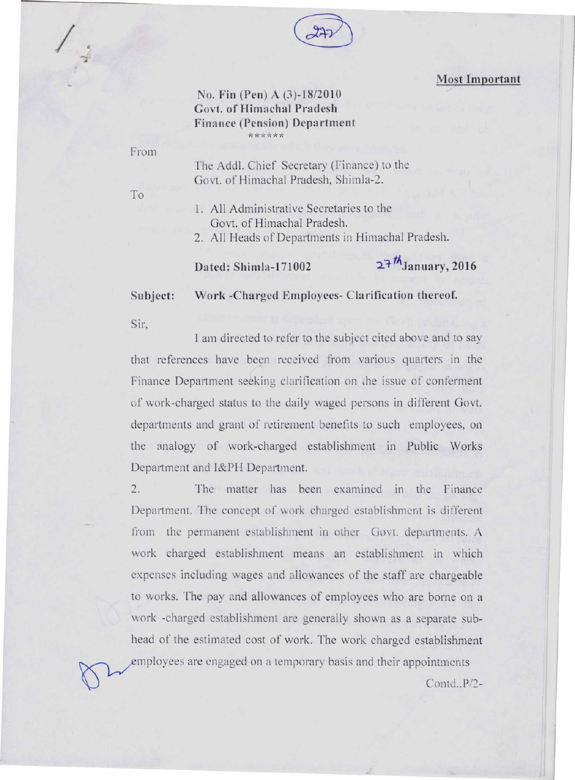

## **Most Important**

## **No. Fin (Pen) A (3)-18/2010 Govt. of Himachal Pradesh Finance (Pension) Department**  *of:\*\*\*\*-i:*

## From

To

*I ,* 

..

The Add!. Chief Secretary (Finance) to the Govt. of Himachal Pradesh, Shimla-2.

1. All Administrative Secretaries to the Govt. of Himachal Pradesh.

2. All Heads of Departments in Himachal Pradesh.

Dated: Shimla-171002 **27<sup>th</sup>January**, 2016

**Subject:** 

**Work -Charged Employees- Clarification thereof.** 

Sir,

J am directed to refer to the subject cited above and to say that references have been received from various quarters in the Finance Department seeking clarification on the issue of conferment of work-charged status to the daily waged persons in different Govt. departments and grant of retirement benefits to such employees, on the analogy of work-charged establishment in Public Works Department and I&PH Department.

2. The matter has been examined in the Finance Department. The concept of work charged establishment is different from the permanent establishment in other Govt. departments. A work charged establishment means an establishment in which expenses including wages and aliowances of the staff arc chargeable to works. The pay and allowances of employees who are borne on a work -charged establishment are generally shown as a separate subhead of the estimated cost of work. The work charged establishment employees are engaged on a temporary basis and their appointments  $\bigcirc$   $\bigcirc$   $\bigcirc$  contd.. P/2-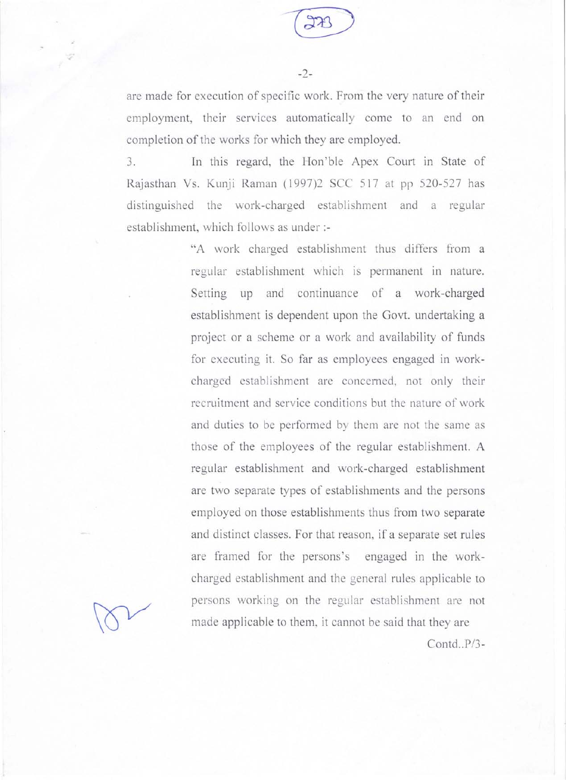

-2-

are made for execution of specific work. From the very nature of their employment, their services automatically come to an end on completion of the works for which they are employed.

3. In this regard, the Hon'ble Apex Court in State of Rajasthan Vs. Kunji Raman (1997)2 SCC 517 at pp 520-527 has distinguished the work-charged establishment and a regular establishment, which follows as under :-

> "A work charged establishment thus differs from a regular establishment which is permanent in nature. Setting up and continuance of a work-charged establishment is dependent upon the Govt. undertaking a project or a scheme or a work and availability of funds for executing it. So far as employees engaged in workcharged establishment are concerned, not only their recruitment and service conditions but the nature of work and duties to be performed by them are not the same as those of the employees of the regular establishment. A regular establishment and work-charged establishment are two separate types of establishments and the persons employed on those establishments thus from two separate and distinct classes. For that reason, if a separate set rules are framed for the persons's engaged in the workcharged establishment and the general rules applicable to persons working on the regular establishment are not made applicable to them, it cannot be said that they are

*Contd .. P/3-*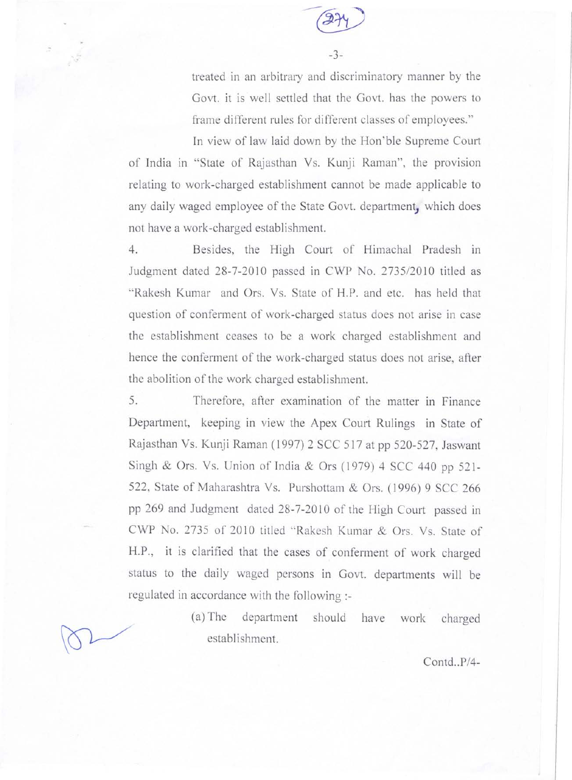

-3-

treated in an arbitrary and discriminatory manner by the Govt. it is well settled that the Govt. has the powers to frame different rules for different classes of employees."

In view of law laid down by the Hon'ble Supreme Court of India in "State of Rajasthan Vs. Kunji Raman", the provision relating to work-charged establishment cannot be made applicable to any daily waged employee of the State Govt. department, which does not have a work-charged establishment.

4. Besides, the High Court of Himachal Pradesh in Judgment dated 28-7-2010 passed in CWP No. 2735/2010 titled as "Rakesh Kumar and Ors. Vs. State of H.P. and etc. has held that question of conferment of work-charged status does not arise in case the establishment ceases to be a work charged establishment and hence the conferment of the work-charged status does not arise, after the abolition of the work charged establishment.

5. Therefore, after examination of the matter in Finance Department, keeping in view the Apex Court Rulings in State of Rajasthan Vs. Kunji Raman (1997) 2 SCC 517 at pp 520-527, Jaswant Singh & Ors. Vs. Union of India & Ors (1979) 4 SCC 440 pp 521- 522, State of Maharashtra Vs. Purshottam & Ors. (1996) 9 SCC 266 pp 269 and Judgment dated 28-7-2010 of the High Court passed in CWP No. 2735 of 2010 titled "Rakesh Kumar & Ors. Vs. State of H.P., it is clarified that the cases of conferment of work charged status to the daily waged persons in Govt. departments will be regulated in accordance with the following :-

> (a) The department should have work charged establishment.

> > *Contd .. P/4-*